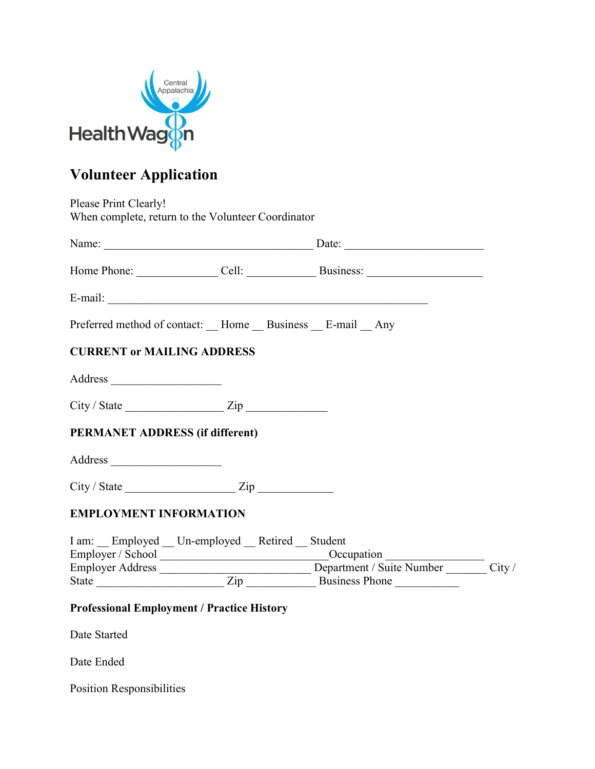

# Volunteer Application

|                                                       | Home Phone: Cell: Cell: Business: |  |
|-------------------------------------------------------|-----------------------------------|--|
| E-mail:                                               |                                   |  |
| Preferred method of contact: Home Business E-mail Any |                                   |  |
| <b>CURRENT or MAILING ADDRESS</b>                     |                                   |  |
|                                                       |                                   |  |
| $City / State$ $Zip$                                  |                                   |  |
| <b>PERMANET ADDRESS (if different)</b>                |                                   |  |
|                                                       |                                   |  |
| $City / State$ $Zip$                                  |                                   |  |
| <b>EMPLOYMENT INFORMATION</b>                         |                                   |  |
|                                                       |                                   |  |
| I am: Employed Un-employed Retired Student            |                                   |  |

Date Ended

Position Responsibilities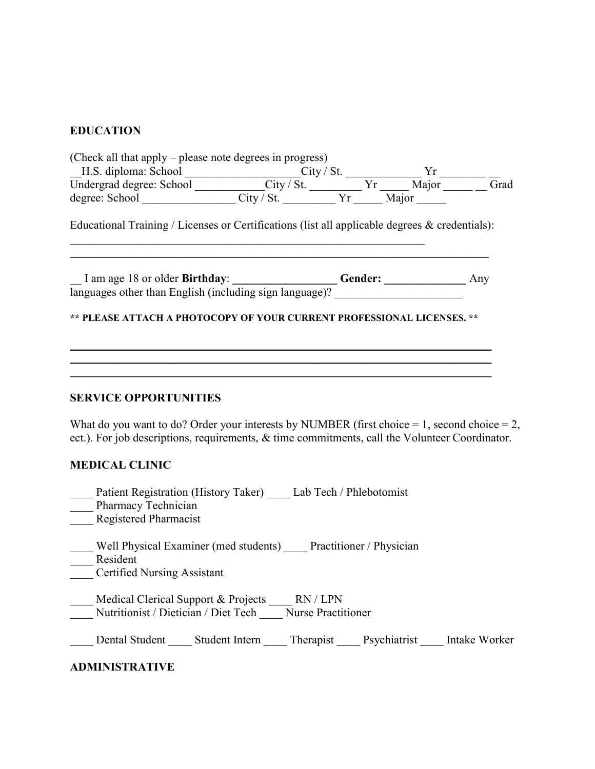# EDUCATION

| (Check all that apply – please note degrees in progress)                                                                                                                                                                         |  |  |
|----------------------------------------------------------------------------------------------------------------------------------------------------------------------------------------------------------------------------------|--|--|
|                                                                                                                                                                                                                                  |  |  |
|                                                                                                                                                                                                                                  |  |  |
| H.S. diploma: School City / St. Vr<br>Undergrad degree: School City / St. Vr Major City / St. Vr Major City / St. Vr Major City / St. Vr Major City / St. Vr Major City / St. Vr Major City / St. City / St. City / St. City / S |  |  |
| Educational Training / Licenses or Certifications (list all applicable degrees & credentials):                                                                                                                                   |  |  |
| I am age 18 or older Birthday: Cender: Cambridge 18 or older Birthday: Cender: Cambridge 18 or older Birthday:                                                                                                                   |  |  |
|                                                                                                                                                                                                                                  |  |  |
|                                                                                                                                                                                                                                  |  |  |
| <b>SERVICE OPPORTUNITIES</b><br>What do you want to do? Order your interests by NUMBER (first choice = 1, second choice = 2,                                                                                                     |  |  |
| ect.). For job descriptions, requirements, & time commitments, call the Volunteer Coordinator.<br><b>MEDICAL CLINIC</b>                                                                                                          |  |  |
| ____ Patient Registration (History Taker) ____ Lab Tech / Phlebotomist<br>___ Pharmacy Technician<br>Registered Pharmacist                                                                                                       |  |  |
| Well Physical Examiner (med students) Practitioner / Physician<br>Resident<br>Certified<br><b>Certified Nursing Assistant</b>                                                                                                    |  |  |
| Medical Clerical Support & Projects _____ RN / LPN<br>Nutritionist / Dietician / Diet Tech Nurse Practitioner                                                                                                                    |  |  |
| Dental Student ______ Student Intern ______ Therapist ______ Psychiatrist ______ Intake Worker                                                                                                                                   |  |  |
| <b>ADMINISTRATIVE</b>                                                                                                                                                                                                            |  |  |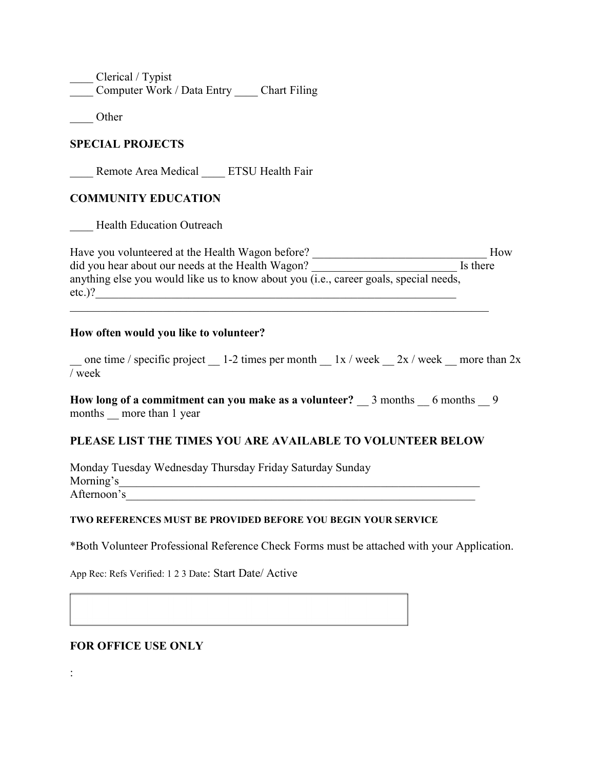Clerical / Typist Computer Work / Data Entry Chart Filing

\_\_\_\_ Other

## SPECIAL PROJECTS

Remote Area Medical ETSU Health Fair

# COMMUNITY EDUCATION

Health Education Outreach

Have you volunteered at the Health Wagon before? \_\_\_\_\_\_\_\_\_\_\_\_\_\_\_\_\_\_\_\_\_\_\_\_\_\_\_\_\_\_ How did you hear about our needs at the Health Wagon? Is there anything else you would like us to know about you (i.e., career goals, special needs, etc.)?

#### How often would you like to volunteer?

one time / specific project  $\qquad 1-2$  times per month  $\qquad 1x$  / week  $\qquad 2x$  / week  $\qquad$  more than 2x / week

How long of a commitment can you make as a volunteer?  $\quad$  3 months  $\quad$  6 months  $\quad$  9 months more than 1 year

## PLEASE LIST THE TIMES YOU ARE AVAILABLE TO VOLUNTEER BELOW

Monday Tuesday Wednesday Thursday Friday Saturday Sunday Morning's Afternoon's\_\_\_\_\_\_\_\_\_\_\_\_\_\_\_\_\_\_\_\_\_\_\_\_\_\_\_\_\_\_\_\_\_\_\_\_\_\_\_\_\_\_\_\_\_\_\_\_\_\_\_\_\_\_\_\_\_\_\_\_

#### TWO REFERENCES MUST BE PROVIDED BEFORE YOU BEGIN YOUR SERVICE

\*Both Volunteer Professional Reference Check Forms must be attached with your Application.

App Rec: Refs Verified: 1 2 3 Date: Start Date/ Active

## FOR OFFICE USE ONLY

: